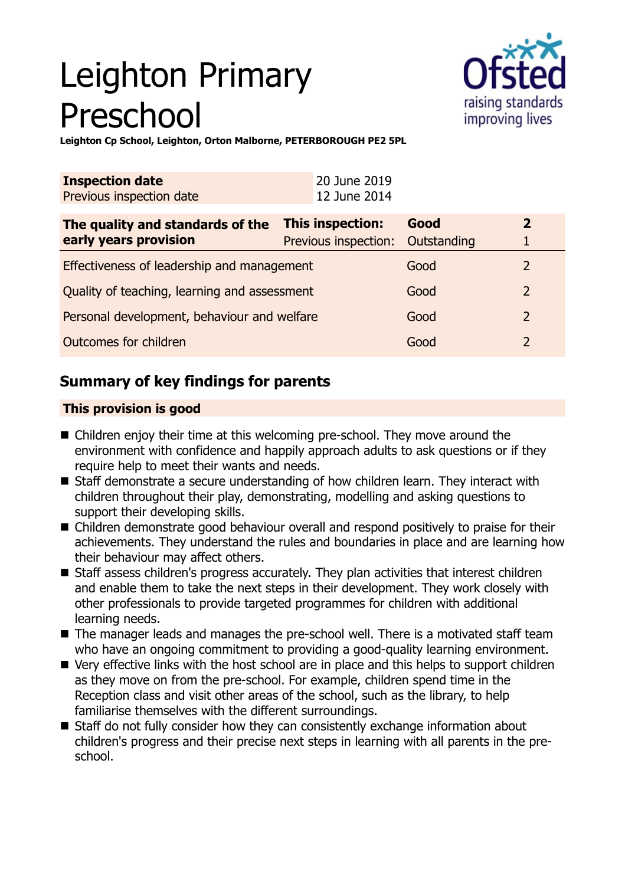# Leighton Primary Preschool



**Leighton Cp School, Leighton, Orton Malborne, PETERBOROUGH PE2 5PL**

| <b>Inspection date</b><br>Previous inspection date | 20 June 2019<br>12 June 2014 |             |                |
|----------------------------------------------------|------------------------------|-------------|----------------|
| The quality and standards of the                   | This inspection:             | Good        | $\overline{2}$ |
| early years provision                              | Previous inspection:         | Outstanding |                |
| Effectiveness of leadership and management         |                              | Good        | 2              |
| Quality of teaching, learning and assessment       |                              | Good        | $\overline{2}$ |
| Personal development, behaviour and welfare        |                              | Good        | $\mathcal{P}$  |
| Outcomes for children                              |                              | Good        | $\overline{2}$ |

## **Summary of key findings for parents**

## **This provision is good**

- $\blacksquare$  Children enjoy their time at this welcoming pre-school. They move around the environment with confidence and happily approach adults to ask questions or if they require help to meet their wants and needs.
- Staff demonstrate a secure understanding of how children learn. They interact with children throughout their play, demonstrating, modelling and asking questions to support their developing skills.
- Children demonstrate good behaviour overall and respond positively to praise for their achievements. They understand the rules and boundaries in place and are learning how their behaviour may affect others.
- Staff assess children's progress accurately. They plan activities that interest children and enable them to take the next steps in their development. They work closely with other professionals to provide targeted programmes for children with additional learning needs.
- The manager leads and manages the pre-school well. There is a motivated staff team who have an ongoing commitment to providing a good-quality learning environment.
- Very effective links with the host school are in place and this helps to support children as they move on from the pre-school. For example, children spend time in the Reception class and visit other areas of the school, such as the library, to help familiarise themselves with the different surroundings.
- $\blacksquare$  Staff do not fully consider how they can consistently exchange information about children's progress and their precise next steps in learning with all parents in the preschool.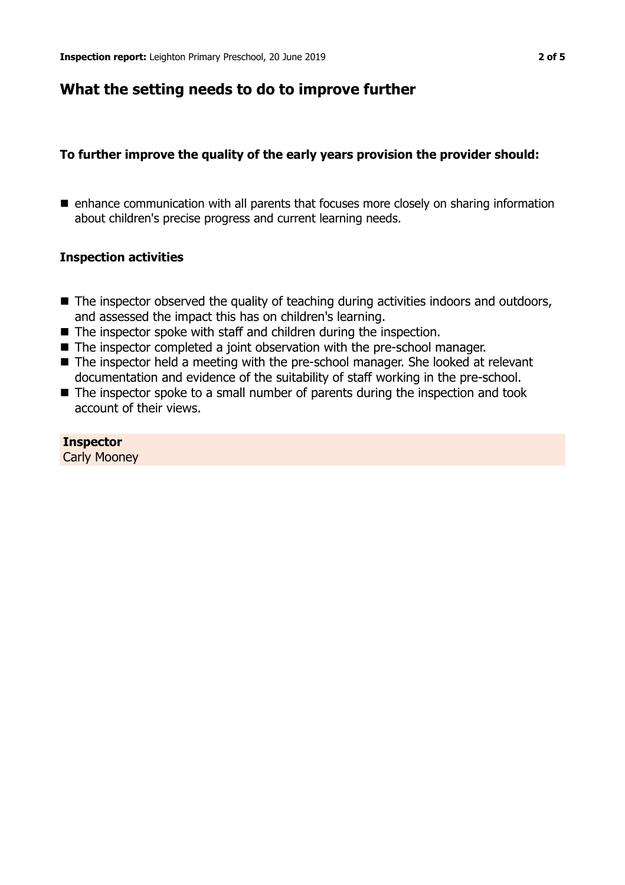## **What the setting needs to do to improve further**

## **To further improve the quality of the early years provision the provider should:**

 $\blacksquare$  enhance communication with all parents that focuses more closely on sharing information about children's precise progress and current learning needs.

### **Inspection activities**

- $\blacksquare$  The inspector observed the quality of teaching during activities indoors and outdoors, and assessed the impact this has on children's learning.
- $\blacksquare$  The inspector spoke with staff and children during the inspection.
- The inspector completed a joint observation with the pre-school manager.
- The inspector held a meeting with the pre-school manager. She looked at relevant documentation and evidence of the suitability of staff working in the pre-school.
- $\blacksquare$  The inspector spoke to a small number of parents during the inspection and took account of their views.

**Inspector** Carly Mooney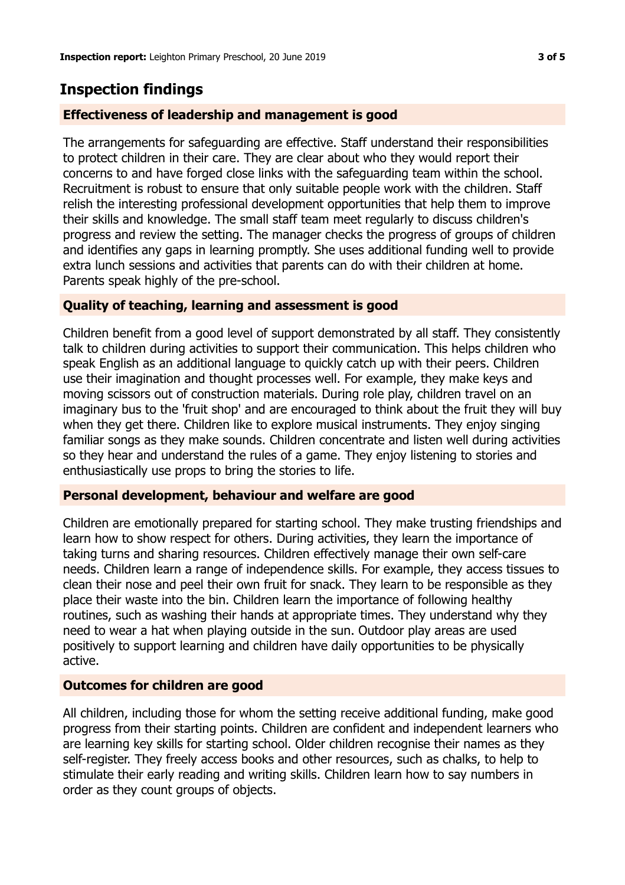## **Inspection findings**

## **Effectiveness of leadership and management is good**

The arrangements for safeguarding are effective. Staff understand their responsibilities to protect children in their care. They are clear about who they would report their concerns to and have forged close links with the safeguarding team within the school. Recruitment is robust to ensure that only suitable people work with the children. Staff relish the interesting professional development opportunities that help them to improve their skills and knowledge. The small staff team meet regularly to discuss children's progress and review the setting. The manager checks the progress of groups of children and identifies any gaps in learning promptly. She uses additional funding well to provide extra lunch sessions and activities that parents can do with their children at home. Parents speak highly of the pre-school.

## **Quality of teaching, learning and assessment is good**

Children benefit from a good level of support demonstrated by all staff. They consistently talk to children during activities to support their communication. This helps children who speak English as an additional language to quickly catch up with their peers. Children use their imagination and thought processes well. For example, they make keys and moving scissors out of construction materials. During role play, children travel on an imaginary bus to the 'fruit shop' and are encouraged to think about the fruit they will buy when they get there. Children like to explore musical instruments. They enjoy singing familiar songs as they make sounds. Children concentrate and listen well during activities so they hear and understand the rules of a game. They enjoy listening to stories and enthusiastically use props to bring the stories to life.

### **Personal development, behaviour and welfare are good**

Children are emotionally prepared for starting school. They make trusting friendships and learn how to show respect for others. During activities, they learn the importance of taking turns and sharing resources. Children effectively manage their own self-care needs. Children learn a range of independence skills. For example, they access tissues to clean their nose and peel their own fruit for snack. They learn to be responsible as they place their waste into the bin. Children learn the importance of following healthy routines, such as washing their hands at appropriate times. They understand why they need to wear a hat when playing outside in the sun. Outdoor play areas are used positively to support learning and children have daily opportunities to be physically active.

### **Outcomes for children are good**

All children, including those for whom the setting receive additional funding, make good progress from their starting points. Children are confident and independent learners who are learning key skills for starting school. Older children recognise their names as they self-register. They freely access books and other resources, such as chalks, to help to stimulate their early reading and writing skills. Children learn how to say numbers in order as they count groups of objects.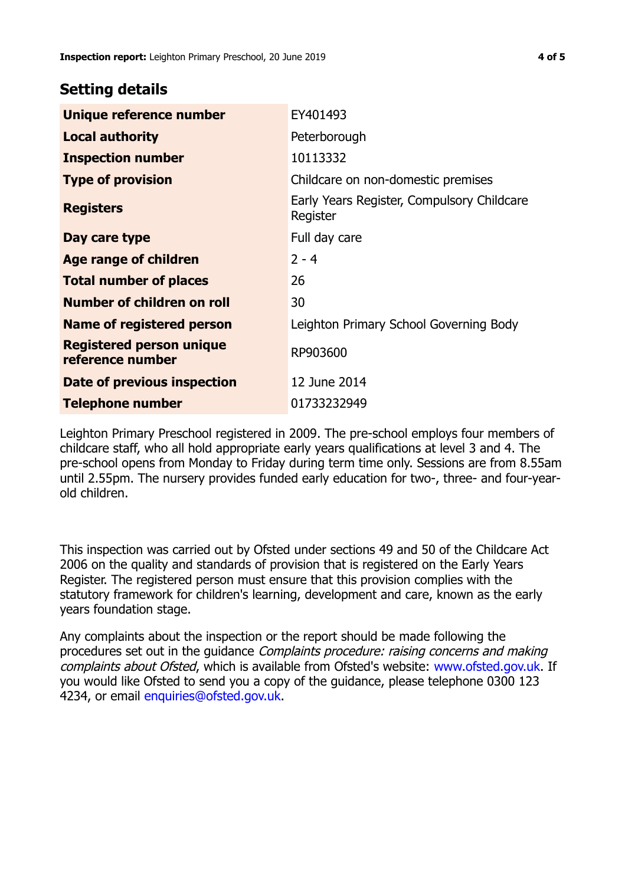## **Setting details**

| Unique reference number                             | EY401493                                               |
|-----------------------------------------------------|--------------------------------------------------------|
| <b>Local authority</b>                              | Peterborough                                           |
| <b>Inspection number</b>                            | 10113332                                               |
| <b>Type of provision</b>                            | Childcare on non-domestic premises                     |
| <b>Registers</b>                                    | Early Years Register, Compulsory Childcare<br>Register |
| Day care type                                       | Full day care                                          |
| Age range of children                               | $2 - 4$                                                |
| <b>Total number of places</b>                       | 26                                                     |
| Number of children on roll                          | 30                                                     |
| Name of registered person                           | Leighton Primary School Governing Body                 |
| <b>Registered person unique</b><br>reference number | RP903600                                               |
| Date of previous inspection                         | 12 June 2014                                           |
| <b>Telephone number</b>                             | 01733232949                                            |

Leighton Primary Preschool registered in 2009. The pre-school employs four members of childcare staff, who all hold appropriate early years qualifications at level 3 and 4. The pre-school opens from Monday to Friday during term time only. Sessions are from 8.55am until 2.55pm. The nursery provides funded early education for two-, three- and four-yearold children.

This inspection was carried out by Ofsted under sections 49 and 50 of the Childcare Act 2006 on the quality and standards of provision that is registered on the Early Years Register. The registered person must ensure that this provision complies with the statutory framework for children's learning, development and care, known as the early years foundation stage.

Any complaints about the inspection or the report should be made following the procedures set out in the guidance Complaints procedure: raising concerns and making complaints about Ofsted, which is available from Ofsted's website: www.ofsted.gov.uk. If you would like Ofsted to send you a copy of the guidance, please telephone 0300 123 4234, or email [enquiries@ofsted.gov.uk.](mailto:enquiries@ofsted.gov.uk)